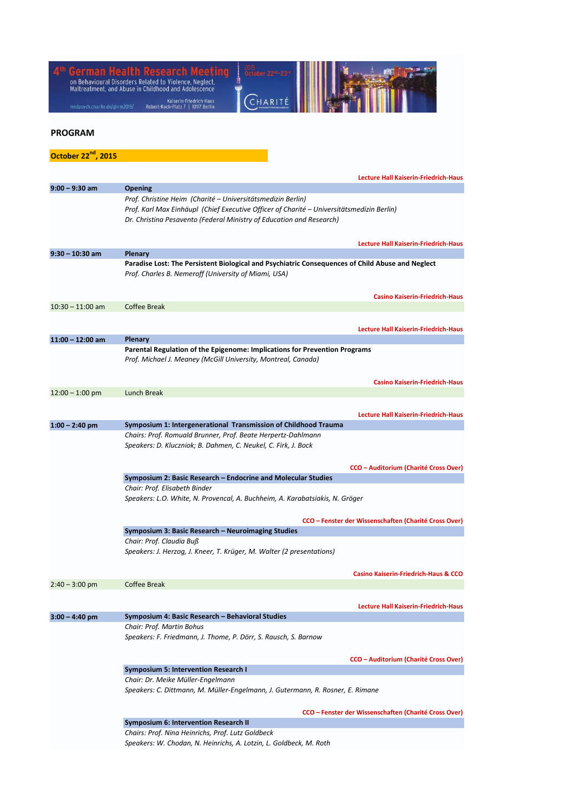| German Health Research Meeting<br>on Behavioural Disorders Related to Violence, Neglect,<br>Maltreatment, and Abuse in Childhood and Adolescence |                                                                                                                                                                                                                                  |
|--------------------------------------------------------------------------------------------------------------------------------------------------|----------------------------------------------------------------------------------------------------------------------------------------------------------------------------------------------------------------------------------|
| medpsych.charite.de/ghrm2015/                                                                                                                    | Kaiserin-Friedrich-Haus<br>Robert-Koch-Platz 7   10117 Berlin                                                                                                                                                                    |
| <b>PROGRAM</b>                                                                                                                                   |                                                                                                                                                                                                                                  |
| October 22 <sup>nd</sup> , 2015                                                                                                                  |                                                                                                                                                                                                                                  |
|                                                                                                                                                  | <b>Lecture Hall Kaiserin-Friedrich-Haus</b>                                                                                                                                                                                      |
| $9:00 - 9:30$ am                                                                                                                                 | <b>Opening</b>                                                                                                                                                                                                                   |
|                                                                                                                                                  | Prof. Christine Heim (Charité – Universitätsmedizin Berlin)<br>Prof. Karl Max Einhäupl (Chief Executive Officer of Charité – Universitätsmedizin Berlin)<br>Dr. Christina Pesavento (Federal Ministry of Education and Research) |
|                                                                                                                                                  | <b>Lecture Hall Kaiserin-Friedrich-Haus</b>                                                                                                                                                                                      |
| $9:30 - 10:30$ am                                                                                                                                | <b>Plenary</b><br>Paradise Lost: The Persistent Biological and Psychiatric Consequences of Child Abuse and Neglect<br>Prof. Charles B. Nemeroff (University of Miami, USA)                                                       |
|                                                                                                                                                  | <b>Casino Kaiserin-Friedrich-Haus</b>                                                                                                                                                                                            |
| $10:30 - 11:00$ am                                                                                                                               | <b>Coffee Break</b>                                                                                                                                                                                                              |
|                                                                                                                                                  | <b>Lecture Hall Kaiserin-Friedrich-Haus</b>                                                                                                                                                                                      |
| $11:00 - 12:00$ am                                                                                                                               | <b>Plenary</b><br>Parental Regulation of the Epigenome: Implications for Prevention Programs<br>Prof. Michael J. Meaney (McGill University, Montreal, Canada)                                                                    |
|                                                                                                                                                  | <b>Casino Kaiserin-Friedrich-Haus</b>                                                                                                                                                                                            |
| $12:00 - 1:00$ pm                                                                                                                                | Lunch Break                                                                                                                                                                                                                      |
|                                                                                                                                                  | <b>Lecture Hall Kaiserin-Friedrich-Haus</b>                                                                                                                                                                                      |
| $1:00 - 2:40$ pm                                                                                                                                 | Symposium 1: Intergenerational Transmission of Childhood Trauma<br>Chairs: Prof. Romuald Brunner, Prof. Beate Herpertz-Dahlmann<br>Speakers: D. Kluczniok; B. Dahmen, C. Neukel, C. Firk, J. Bock                                |
|                                                                                                                                                  | CCO – Auditorium (Charité Cross Over)                                                                                                                                                                                            |
|                                                                                                                                                  | Symposium 2: Basic Research – Endocrine and Molecular Studies<br>Chair: Prof. Elisabeth Binder                                                                                                                                   |
|                                                                                                                                                  | Speakers: L.O. White, N. Provencal, A. Buchheim, A. Karabatsiakis, N. Gröger                                                                                                                                                     |
|                                                                                                                                                  | CCO – Fenster der Wissenschaften (Charité Cross Over)<br>Symposium 3: Basic Research - Neuroimaging Studies                                                                                                                      |
|                                                                                                                                                  | Chair: Prof. Claudia Buß<br>Speakers: J. Herzog, J. Kneer, T. Krüger, M. Walter (2 presentations)                                                                                                                                |
|                                                                                                                                                  | <b>Casino Kaiserin-Friedrich-Haus &amp; CCO</b>                                                                                                                                                                                  |
| $2:40 - 3:00$ pm                                                                                                                                 | Coffee Break                                                                                                                                                                                                                     |
|                                                                                                                                                  | <b>Lecture Hall Kaiserin-Friedrich-Haus</b>                                                                                                                                                                                      |
| $3:00 - 4:40$ pm                                                                                                                                 | Symposium 4: Basic Research – Behavioral Studies                                                                                                                                                                                 |
|                                                                                                                                                  | Chair: Prof. Martin Bohus<br>Speakers: F. Friedmann, J. Thome, P. Dörr, S. Rausch, S. Barnow                                                                                                                                     |
|                                                                                                                                                  | CCO – Auditorium (Charité Cross Over)                                                                                                                                                                                            |
|                                                                                                                                                  | <b>Symposium 5: Intervention Research I</b><br>Chair: Dr. Meike Müller-Engelmann<br>Speakers: C. Dittmann, M. Müller-Engelmann, J. Gutermann, R. Rosner, E. Rimane                                                               |
|                                                                                                                                                  | CCO – Fenster der Wissenschaften (Charité Cross Over)                                                                                                                                                                            |
|                                                                                                                                                  | Symposium 6: Intervention Research II                                                                                                                                                                                            |
|                                                                                                                                                  | Chairs: Prof. Nina Heinrichs, Prof. Lutz Goldbeck<br>Speakers: W. Chodan, N. Heinrichs, A. Lotzin, L. Goldbeck, M. Roth                                                                                                          |